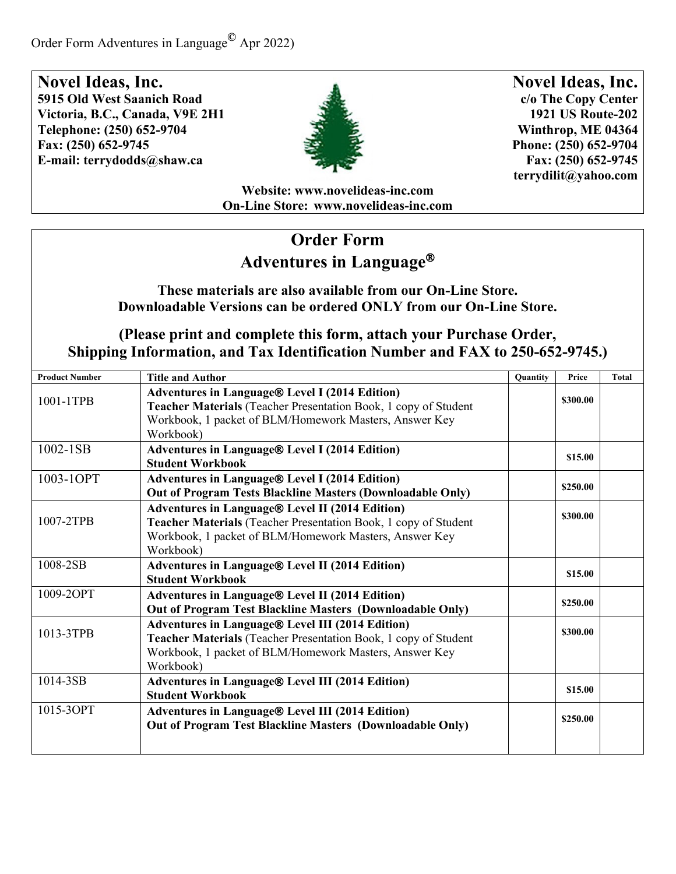

**Novel Ideas, Inc. c/o The Copy Center 1921 US Route-202 Winthrop, ME 04364 Phone: (250) 652-9704 Fax: (250) 652-9745 [terrydilit@yahoo.com](mailto:terrydilit@yahoo.com)**

**Website: [www.novelideas-inc.com](http://www.novelideas-inc.com/) On-Line Store: [www.novelideas-inc.com](http://www.novelideas-inc.com/)**

## **Order Form Adventures in Language**

#### **These materials are also available from our On-Line Store. Downloadable Versions can be ordered ONLY from our On-Line Store.**

| <b>Product Number</b> | <b>Title and Author</b>                                                                                                                                                                          | <b>Quantity</b> | Price    | <b>Total</b> |
|-----------------------|--------------------------------------------------------------------------------------------------------------------------------------------------------------------------------------------------|-----------------|----------|--------------|
| 1001-1TPB             | <b>Adventures in Language® Level I (2014 Edition)</b><br>Teacher Materials (Teacher Presentation Book, 1 copy of Student<br>Workbook, 1 packet of BLM/Homework Masters, Answer Key               |                 | \$300.00 |              |
|                       | Workbook)                                                                                                                                                                                        |                 |          |              |
| 1002-1SB              | <b>Adventures in Language® Level I (2014 Edition)</b><br><b>Student Workbook</b>                                                                                                                 |                 | \$15.00  |              |
| 1003-1OPT             | <b>Adventures in Language® Level I (2014 Edition)</b><br><b>Out of Program Tests Blackline Masters (Downloadable Only)</b>                                                                       |                 | \$250.00 |              |
| 1007-2TPB             | <b>Adventures in Language® Level II (2014 Edition)</b><br>Teacher Materials (Teacher Presentation Book, 1 copy of Student<br>Workbook, 1 packet of BLM/Homework Masters, Answer Key<br>Workbook) |                 | \$300.00 |              |
| 1008-2SB              | Adventures in Language® Level II (2014 Edition)<br><b>Student Workbook</b>                                                                                                                       |                 | \$15.00  |              |
| 1009-2OPT             | Adventures in Language® Level II (2014 Edition)<br>Out of Program Test Blackline Masters (Downloadable Only)                                                                                     |                 | \$250.00 |              |
| 1013-3TPB             | Adventures in Language® Level III (2014 Edition)<br>Teacher Materials (Teacher Presentation Book, 1 copy of Student<br>Workbook, 1 packet of BLM/Homework Masters, Answer Key<br>Workbook)       |                 | \$300.00 |              |
| 1014-3SB              | Adventures in Language® Level III (2014 Edition)<br><b>Student Workbook</b>                                                                                                                      |                 | \$15.00  |              |
| 1015-3OPT             | <b>Adventures in Language® Level III (2014 Edition)</b><br>Out of Program Test Blackline Masters (Downloadable Only)                                                                             |                 | \$250.00 |              |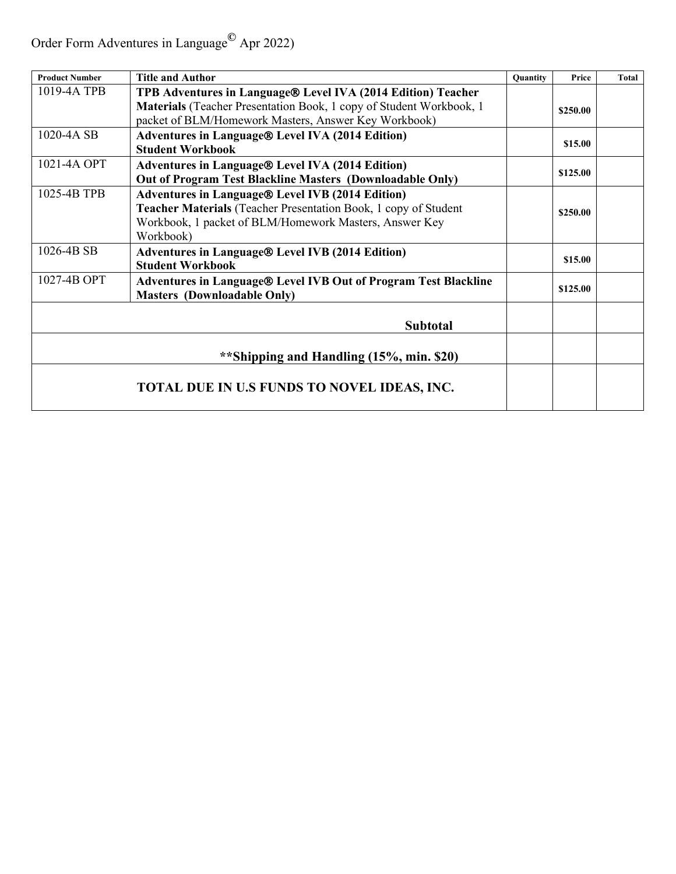Order Form Adventures in Language**©** Apr 2022)

| <b>Product Number</b>                    | <b>Title and Author</b>                                                                                                                                                                           | <b>Quantity</b> | Price    | <b>Total</b> |
|------------------------------------------|---------------------------------------------------------------------------------------------------------------------------------------------------------------------------------------------------|-----------------|----------|--------------|
| 1019-4A TPB                              | TPB Adventures in Language® Level IVA (2014 Edition) Teacher<br>Materials (Teacher Presentation Book, 1 copy of Student Workbook, 1<br>packet of BLM/Homework Masters, Answer Key Workbook)       |                 | \$250.00 |              |
| 1020-4A SB                               | <b>Adventures in Language® Level IVA (2014 Edition)</b><br><b>Student Workbook</b>                                                                                                                |                 | \$15.00  |              |
| 1021-4A OPT                              | <b>Adventures in Language® Level IVA (2014 Edition)</b><br>Out of Program Test Blackline Masters (Downloadable Only)                                                                              |                 | \$125.00 |              |
| 1025-4B TPB                              | <b>Adventures in Language® Level IVB (2014 Edition)</b><br>Teacher Materials (Teacher Presentation Book, 1 copy of Student<br>Workbook, 1 packet of BLM/Homework Masters, Answer Key<br>Workbook) |                 | \$250.00 |              |
| 1026-4B SB                               | <b>Adventures in Language® Level IVB (2014 Edition)</b><br><b>Student Workbook</b>                                                                                                                |                 | \$15.00  |              |
| 1027-4B OPT                              | Adventures in Language® Level IVB Out of Program Test Blackline<br><b>Masters (Downloadable Only)</b>                                                                                             |                 | \$125.00 |              |
|                                          | <b>Subtotal</b>                                                                                                                                                                                   |                 |          |              |
| **Shipping and Handling (15%, min. \$20) |                                                                                                                                                                                                   |                 |          |              |
|                                          | <b>TOTAL DUE IN U.S FUNDS TO NOVEL IDEAS, INC.</b>                                                                                                                                                |                 |          |              |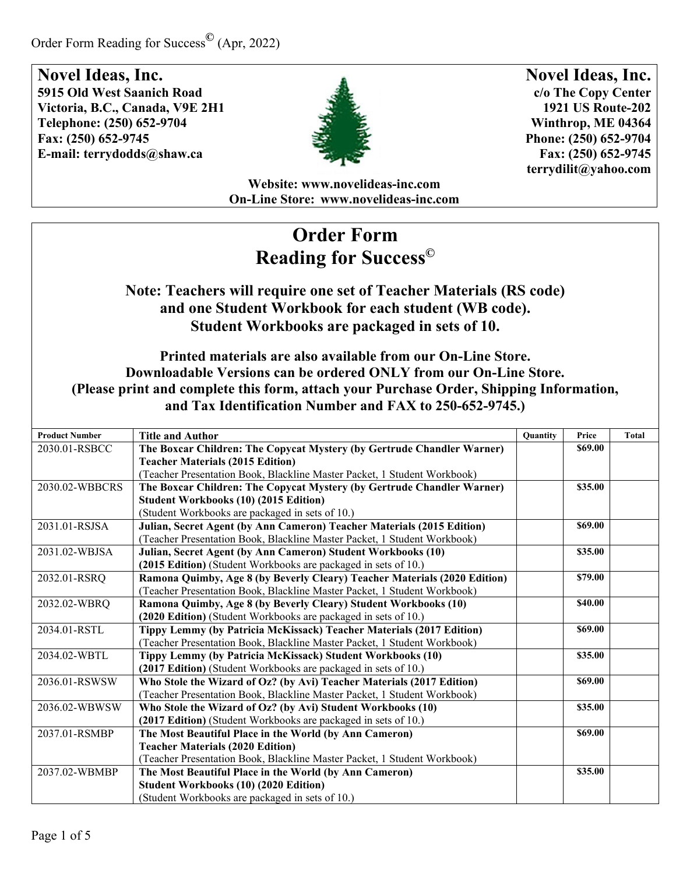

**Novel Ideas, Inc. c/o The Copy Center 1921 US Route-202 Winthrop, ME 04364 Phone: (250) 652-9704 Fax: (250) 652-9745 [terrydilit@yahoo.com](mailto:terrydilit@yahoo.com)**

**Website: [www.novelideas-inc.com](http://www.novelideas-inc.com/) On-Line Store: [www.novelideas-inc.com](http://www.novelideas-inc.com/)**

# **Order Form Reading for Success©**

### **Note: Teachers will require one set of Teacher Materials (RS code) and one Student Workbook for each student (WB code). Student Workbooks are packaged in sets of 10.**

#### **Printed materials are also available from our On-Line Store. Downloadable Versions can be ordered ONLY from our On-Line Store. (Please print and complete this form, attach your Purchase Order, Shipping Information, and Tax Identification Number and FAX to 250-652-9745.)**

| <b>Product Number</b> | <b>Title and Author</b>                                                   | <b>Quantity</b> | Price   | <b>Total</b> |
|-----------------------|---------------------------------------------------------------------------|-----------------|---------|--------------|
| 2030.01-RSBCC         | The Boxcar Children: The Copycat Mystery (by Gertrude Chandler Warner)    |                 | \$69.00 |              |
|                       | <b>Teacher Materials (2015 Edition)</b>                                   |                 |         |              |
|                       | (Teacher Presentation Book, Blackline Master Packet, 1 Student Workbook)  |                 |         |              |
| 2030.02-WBBCRS        | The Boxcar Children: The Copycat Mystery (by Gertrude Chandler Warner)    |                 | \$35.00 |              |
|                       | <b>Student Workbooks (10) (2015 Edition)</b>                              |                 |         |              |
|                       | (Student Workbooks are packaged in sets of 10.)                           |                 |         |              |
| 2031.01-RSJSA         | Julian, Secret Agent (by Ann Cameron) Teacher Materials (2015 Edition)    |                 | \$69.00 |              |
|                       | (Teacher Presentation Book, Blackline Master Packet, 1 Student Workbook)  |                 |         |              |
| 2031.02-WBJSA         | Julian, Secret Agent (by Ann Cameron) Student Workbooks (10)              |                 | \$35.00 |              |
|                       | (2015 Edition) (Student Workbooks are packaged in sets of 10.)            |                 |         |              |
| 2032.01-RSRQ          | Ramona Quimby, Age 8 (by Beverly Cleary) Teacher Materials (2020 Edition) |                 | \$79.00 |              |
|                       | (Teacher Presentation Book, Blackline Master Packet, 1 Student Workbook)  |                 |         |              |
| 2032.02-WBRQ          | Ramona Quimby, Age 8 (by Beverly Cleary) Student Workbooks (10)           |                 | \$40.00 |              |
|                       | (2020 Edition) (Student Workbooks are packaged in sets of 10.)            |                 |         |              |
| 2034.01-RSTL          | Tippy Lemmy (by Patricia McKissack) Teacher Materials (2017 Edition)      |                 | \$69.00 |              |
|                       | (Teacher Presentation Book, Blackline Master Packet, 1 Student Workbook)  |                 |         |              |
| 2034.02-WBTL          | Tippy Lemmy (by Patricia McKissack) Student Workbooks (10)                |                 | \$35.00 |              |
|                       | (2017 Edition) (Student Workbooks are packaged in sets of 10.)            |                 |         |              |
| 2036.01-RSWSW         | Who Stole the Wizard of Oz? (by Avi) Teacher Materials (2017 Edition)     |                 | \$69.00 |              |
|                       | (Teacher Presentation Book, Blackline Master Packet, 1 Student Workbook)  |                 |         |              |
| 2036.02-WBWSW         | Who Stole the Wizard of Oz? (by Avi) Student Workbooks (10)               |                 | \$35.00 |              |
|                       | (2017 Edition) (Student Workbooks are packaged in sets of 10.)            |                 |         |              |
| 2037.01-RSMBP         | The Most Beautiful Place in the World (by Ann Cameron)                    |                 | \$69.00 |              |
|                       | <b>Teacher Materials (2020 Edition)</b>                                   |                 |         |              |
|                       | (Teacher Presentation Book, Blackline Master Packet, 1 Student Workbook)  |                 |         |              |
| 2037.02-WBMBP         | The Most Beautiful Place in the World (by Ann Cameron)                    |                 | \$35.00 |              |
|                       | <b>Student Workbooks (10) (2020 Edition)</b>                              |                 |         |              |
|                       | (Student Workbooks are packaged in sets of 10.)                           |                 |         |              |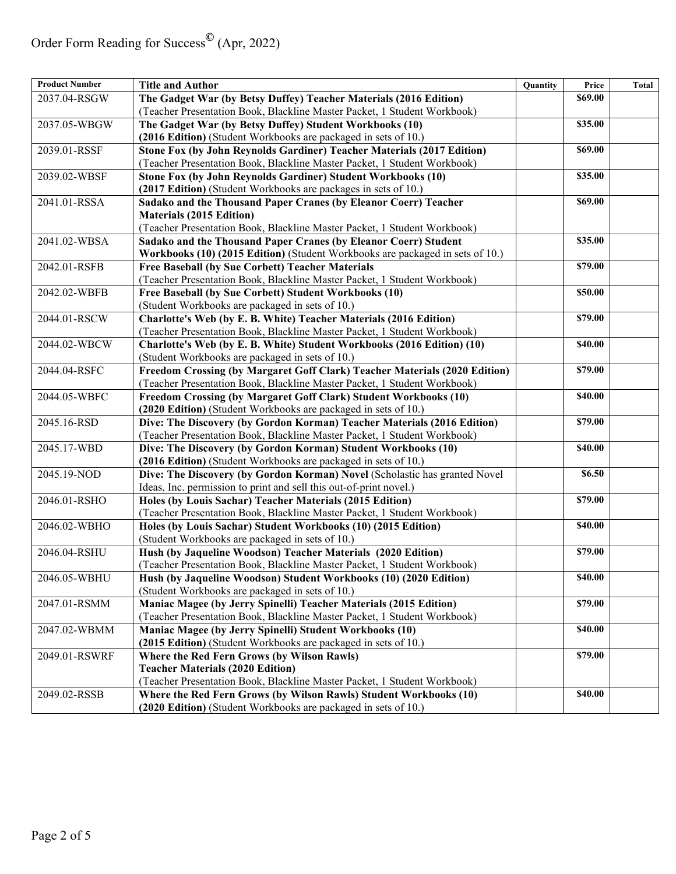| <b>Product Number</b> | <b>Title and Author</b>                                                       | Quantity | Price   | Total |
|-----------------------|-------------------------------------------------------------------------------|----------|---------|-------|
| 2037.04-RSGW          | The Gadget War (by Betsy Duffey) Teacher Materials (2016 Edition)             |          | \$69.00 |       |
|                       | (Teacher Presentation Book, Blackline Master Packet, 1 Student Workbook)      |          |         |       |
| 2037.05-WBGW          | The Gadget War (by Betsy Duffey) Student Workbooks (10)                       |          | \$35.00 |       |
|                       | (2016 Edition) (Student Workbooks are packaged in sets of 10.)                |          |         |       |
| 2039.01-RSSF          | Stone Fox (by John Reynolds Gardiner) Teacher Materials (2017 Edition)        |          | \$69.00 |       |
|                       | (Teacher Presentation Book, Blackline Master Packet, 1 Student Workbook)      |          |         |       |
| 2039.02-WBSF          | Stone Fox (by John Reynolds Gardiner) Student Workbooks (10)                  |          | \$35.00 |       |
|                       | (2017 Edition) (Student Workbooks are packages in sets of 10.)                |          |         |       |
| 2041.01-RSSA          | Sadako and the Thousand Paper Cranes (by Eleanor Coerr) Teacher               |          | \$69.00 |       |
|                       | <b>Materials (2015 Edition)</b>                                               |          |         |       |
|                       | (Teacher Presentation Book, Blackline Master Packet, 1 Student Workbook)      |          |         |       |
| 2041.02-WBSA          | Sadako and the Thousand Paper Cranes (by Eleanor Coerr) Student               |          | \$35.00 |       |
|                       | Workbooks (10) (2015 Edition) (Student Workbooks are packaged in sets of 10.) |          |         |       |
| 2042.01-RSFB          | Free Baseball (by Sue Corbett) Teacher Materials                              |          | \$79.00 |       |
|                       | (Teacher Presentation Book, Blackline Master Packet, 1 Student Workbook)      |          |         |       |
| 2042.02-WBFB          | Free Baseball (by Sue Corbett) Student Workbooks (10)                         |          | \$50.00 |       |
|                       | (Student Workbooks are packaged in sets of 10.)                               |          |         |       |
| 2044.01-RSCW          | Charlotte's Web (by E. B. White) Teacher Materials (2016 Edition)             |          | \$79.00 |       |
|                       | (Teacher Presentation Book, Blackline Master Packet, 1 Student Workbook)      |          |         |       |
| 2044.02-WBCW          | Charlotte's Web (by E. B. White) Student Workbooks (2016 Edition) (10)        |          | \$40.00 |       |
|                       | (Student Workbooks are packaged in sets of 10.)                               |          |         |       |
| 2044.04-RSFC          | Freedom Crossing (by Margaret Goff Clark) Teacher Materials (2020 Edition)    |          | \$79.00 |       |
|                       | (Teacher Presentation Book, Blackline Master Packet, 1 Student Workbook)      |          |         |       |
| 2044.05-WBFC          | Freedom Crossing (by Margaret Goff Clark) Student Workbooks (10)              |          | \$40.00 |       |
|                       | (2020 Edition) (Student Workbooks are packaged in sets of 10.)                |          |         |       |
| 2045.16-RSD           | Dive: The Discovery (by Gordon Korman) Teacher Materials (2016 Edition)       |          | \$79.00 |       |
|                       | (Teacher Presentation Book, Blackline Master Packet, 1 Student Workbook)      |          |         |       |
| 2045.17-WBD           | Dive: The Discovery (by Gordon Korman) Student Workbooks (10)                 |          | \$40.00 |       |
|                       | (2016 Edition) (Student Workbooks are packaged in sets of 10.)                |          |         |       |
| 2045.19-NOD           | Dive: The Discovery (by Gordon Korman) Novel (Scholastic has granted Novel    |          | \$6.50  |       |
|                       | Ideas, Inc. permission to print and sell this out-of-print novel.)            |          |         |       |
| 2046.01-RSHO          | Holes (by Louis Sachar) Teacher Materials (2015 Edition)                      |          | \$79.00 |       |
|                       | (Teacher Presentation Book, Blackline Master Packet, 1 Student Workbook)      |          |         |       |
| 2046.02-WBHO          | Holes (by Louis Sachar) Student Workbooks (10) (2015 Edition)                 |          | \$40.00 |       |
|                       | (Student Workbooks are packaged in sets of 10.)                               |          |         |       |
| 2046.04-RSHU          | Hush (by Jaqueline Woodson) Teacher Materials (2020 Edition)                  |          | \$79.00 |       |
|                       | (Teacher Presentation Book, Blackline Master Packet, 1 Student Workbook)      |          |         |       |
| 2046.05-WBHU          | Hush (by Jaqueline Woodson) Student Workbooks (10) (2020 Edition)             |          | \$40.00 |       |
|                       | (Student Workbooks are packaged in sets of 10.)                               |          |         |       |
| 2047.01-RSMM          | Maniac Magee (by Jerry Spinelli) Teacher Materials (2015 Edition)             |          | \$79.00 |       |
|                       | (Teacher Presentation Book, Blackline Master Packet, 1 Student Workbook)      |          |         |       |
| 2047.02-WBMM          | Maniac Magee (by Jerry Spinelli) Student Workbooks (10)                       |          | \$40.00 |       |
|                       | (2015 Edition) (Student Workbooks are packaged in sets of 10.)                |          |         |       |
| 2049.01-RSWRF         | Where the Red Fern Grows (by Wilson Rawls)                                    |          | \$79.00 |       |
|                       | <b>Teacher Materials (2020 Edition)</b>                                       |          |         |       |
|                       | (Teacher Presentation Book, Blackline Master Packet, 1 Student Workbook)      |          |         |       |
| 2049.02-RSSB          | Where the Red Fern Grows (by Wilson Rawls) Student Workbooks (10)             |          | \$40.00 |       |
|                       | (2020 Edition) (Student Workbooks are packaged in sets of 10.)                |          |         |       |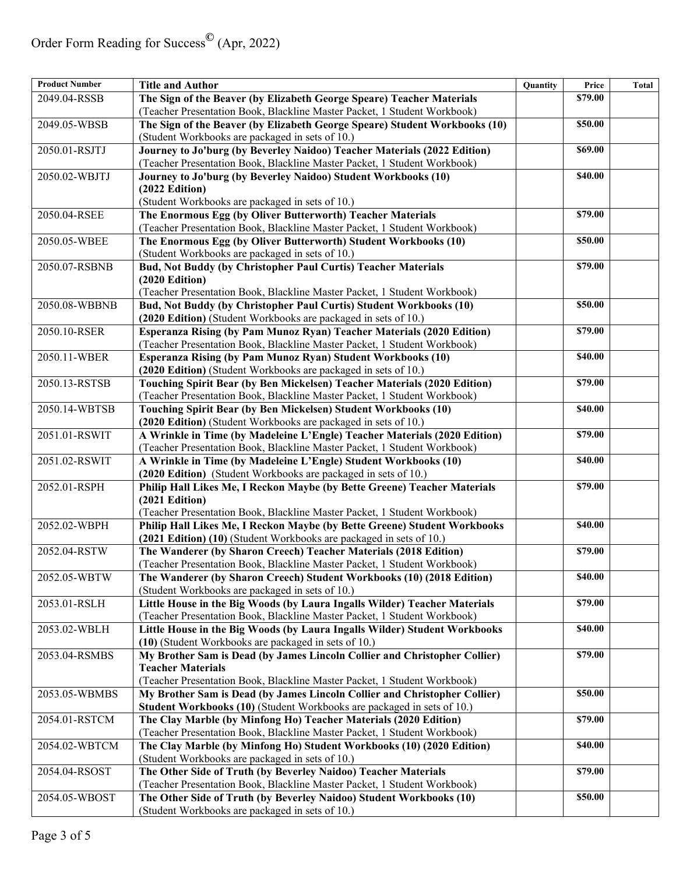| <b>Product Number</b> | <b>Title and Author</b>                                                    | Quantity | Price   | Total |
|-----------------------|----------------------------------------------------------------------------|----------|---------|-------|
| 2049.04-RSSB          | The Sign of the Beaver (by Elizabeth George Speare) Teacher Materials      |          | \$79.00 |       |
|                       | (Teacher Presentation Book, Blackline Master Packet, 1 Student Workbook)   |          |         |       |
| 2049.05-WBSB          | The Sign of the Beaver (by Elizabeth George Speare) Student Workbooks (10) |          | \$50.00 |       |
|                       | (Student Workbooks are packaged in sets of 10.)                            |          |         |       |
| 2050.01-RSJTJ         | Journey to Jo'burg (by Beverley Naidoo) Teacher Materials (2022 Edition)   |          | \$69.00 |       |
|                       | (Teacher Presentation Book, Blackline Master Packet, 1 Student Workbook)   |          |         |       |
| 2050.02-WBJTJ         | Journey to Jo'burg (by Beverley Naidoo) Student Workbooks (10)             |          | \$40.00 |       |
|                       | (2022 Edition)                                                             |          |         |       |
|                       | (Student Workbooks are packaged in sets of 10.)                            |          |         |       |
| 2050.04-RSEE          | The Enormous Egg (by Oliver Butterworth) Teacher Materials                 |          | \$79.00 |       |
|                       | (Teacher Presentation Book, Blackline Master Packet, 1 Student Workbook)   |          |         |       |
| 2050.05-WBEE          | The Enormous Egg (by Oliver Butterworth) Student Workbooks (10)            |          | \$50.00 |       |
|                       | (Student Workbooks are packaged in sets of 10.)                            |          |         |       |
| 2050.07-RSBNB         | Bud, Not Buddy (by Christopher Paul Curtis) Teacher Materials              |          | \$79.00 |       |
|                       | (2020 Edition)                                                             |          |         |       |
|                       | (Teacher Presentation Book, Blackline Master Packet, 1 Student Workbook)   |          |         |       |
| 2050.08-WBBNB         | <b>Bud, Not Buddy (by Christopher Paul Curtis) Student Workbooks (10)</b>  |          | \$50.00 |       |
|                       | (2020 Edition) (Student Workbooks are packaged in sets of 10.)             |          |         |       |
| 2050.10-RSER          | Esperanza Rising (by Pam Munoz Ryan) Teacher Materials (2020 Edition)      |          | \$79.00 |       |
|                       | (Teacher Presentation Book, Blackline Master Packet, 1 Student Workbook)   |          |         |       |
| 2050.11-WBER          | Esperanza Rising (by Pam Munoz Ryan) Student Workbooks (10)                |          | \$40.00 |       |
|                       | (2020 Edition) (Student Workbooks are packaged in sets of 10.)             |          |         |       |
| 2050.13-RSTSB         | Touching Spirit Bear (by Ben Mickelsen) Teacher Materials (2020 Edition)   |          | \$79.00 |       |
|                       | (Teacher Presentation Book, Blackline Master Packet, 1 Student Workbook)   |          |         |       |
| 2050.14-WBTSB         | Touching Spirit Bear (by Ben Mickelsen) Student Workbooks (10)             |          | \$40.00 |       |
|                       | (2020 Edition) (Student Workbooks are packaged in sets of 10.)             |          |         |       |
| 2051.01-RSWIT         | A Wrinkle in Time (by Madeleine L'Engle) Teacher Materials (2020 Edition)  |          | \$79.00 |       |
|                       | (Teacher Presentation Book, Blackline Master Packet, 1 Student Workbook)   |          |         |       |
| 2051.02-RSWIT         | A Wrinkle in Time (by Madeleine L'Engle) Student Workbooks (10)            |          | \$40.00 |       |
|                       | (2020 Edition) (Student Workbooks are packaged in sets of 10.)             |          |         |       |
| 2052.01-RSPH          | Philip Hall Likes Me, I Reckon Maybe (by Bette Greene) Teacher Materials   |          | \$79.00 |       |
|                       | (2021 Edition)                                                             |          |         |       |
|                       | (Teacher Presentation Book, Blackline Master Packet, 1 Student Workbook)   |          |         |       |
| 2052.02-WBPH          | Philip Hall Likes Me, I Reckon Maybe (by Bette Greene) Student Workbooks   |          | \$40.00 |       |
|                       | (2021 Edition) (10) (Student Workbooks are packaged in sets of 10.)        |          |         |       |
| 2052.04-RSTW          | The Wanderer (by Sharon Creech) Teacher Materials (2018 Edition)           |          | \$79.00 |       |
|                       | (Teacher Presentation Book, Blackline Master Packet, 1 Student Workbook)   |          |         |       |
| 2052.05-WBTW          | The Wanderer (by Sharon Creech) Student Workbooks (10) (2018 Edition)      |          | \$40.00 |       |
|                       | (Student Workbooks are packaged in sets of 10.)                            |          |         |       |
| 2053.01-RSLH          | Little House in the Big Woods (by Laura Ingalls Wilder) Teacher Materials  |          | \$79.00 |       |
|                       | (Teacher Presentation Book, Blackline Master Packet, 1 Student Workbook)   |          |         |       |
| 2053.02-WBLH          | Little House in the Big Woods (by Laura Ingalls Wilder) Student Workbooks  |          | \$40.00 |       |
|                       | (10) (Student Workbooks are packaged in sets of 10.)                       |          |         |       |
| 2053.04-RSMBS         | My Brother Sam is Dead (by James Lincoln Collier and Christopher Collier)  |          | \$79.00 |       |
|                       | <b>Teacher Materials</b>                                                   |          |         |       |
|                       | (Teacher Presentation Book, Blackline Master Packet, 1 Student Workbook)   |          |         |       |
| 2053.05-WBMBS         | My Brother Sam is Dead (by James Lincoln Collier and Christopher Collier)  |          | \$50.00 |       |
|                       | Student Workbooks (10) (Student Workbooks are packaged in sets of 10.)     |          |         |       |
| 2054.01-RSTCM         | The Clay Marble (by Minfong Ho) Teacher Materials (2020 Edition)           |          | \$79.00 |       |
|                       | (Teacher Presentation Book, Blackline Master Packet, 1 Student Workbook)   |          |         |       |
| 2054.02-WBTCM         | The Clay Marble (by Minfong Ho) Student Workbooks (10) (2020 Edition)      |          | \$40.00 |       |
|                       | (Student Workbooks are packaged in sets of 10.)                            |          |         |       |
| 2054.04-RSOST         | The Other Side of Truth (by Beverley Naidoo) Teacher Materials             |          | \$79.00 |       |
|                       | (Teacher Presentation Book, Blackline Master Packet, 1 Student Workbook)   |          |         |       |
| 2054.05-WBOST         | The Other Side of Truth (by Beverley Naidoo) Student Workbooks (10)        |          | \$50.00 |       |
|                       | (Student Workbooks are packaged in sets of 10.)                            |          |         |       |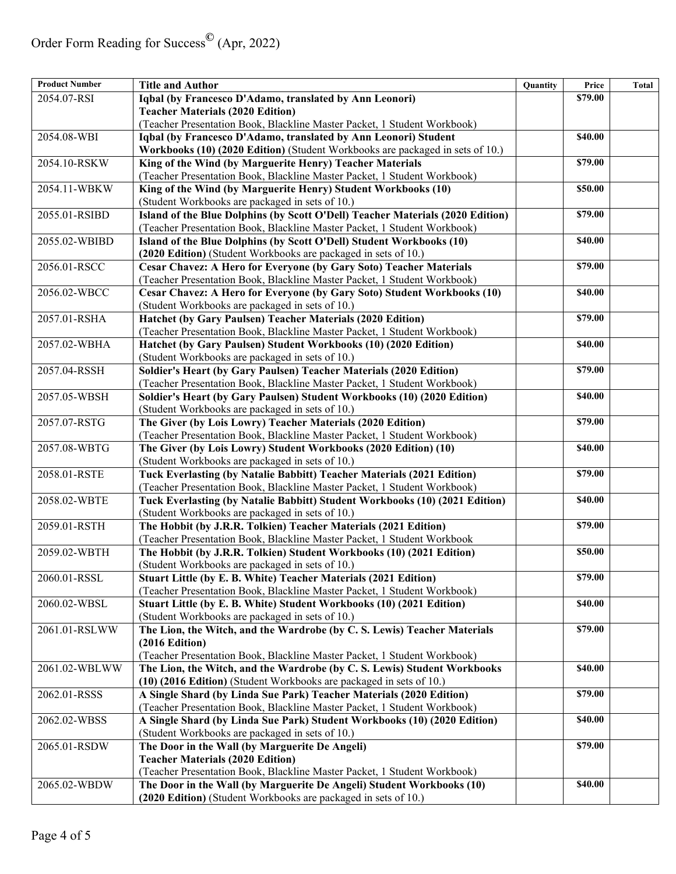| <b>Product Number</b> | <b>Title and Author</b>                                                                                                                           | Quantity | Price   | Total |
|-----------------------|---------------------------------------------------------------------------------------------------------------------------------------------------|----------|---------|-------|
| 2054.07-RSI           | Iqbal (by Francesco D'Adamo, translated by Ann Leonori)                                                                                           |          | \$79.00 |       |
|                       | <b>Teacher Materials (2020 Edition)</b>                                                                                                           |          |         |       |
|                       | (Teacher Presentation Book, Blackline Master Packet, 1 Student Workbook)                                                                          |          |         |       |
| 2054.08-WBI           | Iqbal (by Francesco D'Adamo, translated by Ann Leonori) Student                                                                                   |          | \$40.00 |       |
|                       | Workbooks (10) (2020 Edition) (Student Workbooks are packaged in sets of 10.)                                                                     |          |         |       |
| 2054.10-RSKW          | King of the Wind (by Marguerite Henry) Teacher Materials                                                                                          |          | \$79.00 |       |
|                       | (Teacher Presentation Book, Blackline Master Packet, 1 Student Workbook)                                                                          |          |         |       |
| 2054.11-WBKW          | King of the Wind (by Marguerite Henry) Student Workbooks (10)                                                                                     |          | \$50.00 |       |
|                       | (Student Workbooks are packaged in sets of 10.)                                                                                                   |          |         |       |
| 2055.01-RSIBD         | Island of the Blue Dolphins (by Scott O'Dell) Teacher Materials (2020 Edition)                                                                    |          | \$79.00 |       |
|                       | (Teacher Presentation Book, Blackline Master Packet, 1 Student Workbook)                                                                          |          |         |       |
| 2055.02-WBIBD         | Island of the Blue Dolphins (by Scott O'Dell) Student Workbooks (10)                                                                              |          | \$40.00 |       |
|                       | (2020 Edition) (Student Workbooks are packaged in sets of 10.)                                                                                    |          |         |       |
| 2056.01-RSCC          | Cesar Chavez: A Hero for Everyone (by Gary Soto) Teacher Materials                                                                                |          | \$79.00 |       |
|                       | (Teacher Presentation Book, Blackline Master Packet, 1 Student Workbook)                                                                          |          |         |       |
| 2056.02-WBCC          | Cesar Chavez: A Hero for Everyone (by Gary Soto) Student Workbooks (10)                                                                           |          | \$40.00 |       |
|                       | (Student Workbooks are packaged in sets of 10.)                                                                                                   |          |         |       |
| 2057.01-RSHA          | <b>Hatchet (by Gary Paulsen) Teacher Materials (2020 Edition)</b>                                                                                 |          | \$79.00 |       |
|                       | (Teacher Presentation Book, Blackline Master Packet, 1 Student Workbook)                                                                          |          |         |       |
| 2057.02-WBHA          | Hatchet (by Gary Paulsen) Student Workbooks (10) (2020 Edition)                                                                                   |          | \$40.00 |       |
|                       | (Student Workbooks are packaged in sets of 10.)                                                                                                   |          |         |       |
| 2057.04-RSSH          | Soldier's Heart (by Gary Paulsen) Teacher Materials (2020 Edition)                                                                                |          | \$79.00 |       |
|                       | (Teacher Presentation Book, Blackline Master Packet, 1 Student Workbook)                                                                          |          |         |       |
| 2057.05-WBSH          | Soldier's Heart (by Gary Paulsen) Student Workbooks (10) (2020 Edition)                                                                           |          | \$40.00 |       |
|                       | (Student Workbooks are packaged in sets of 10.)                                                                                                   |          |         |       |
| 2057.07-RSTG          | The Giver (by Lois Lowry) Teacher Materials (2020 Edition)                                                                                        |          | \$79.00 |       |
|                       | (Teacher Presentation Book, Blackline Master Packet, 1 Student Workbook)                                                                          |          |         |       |
| 2057.08-WBTG          | The Giver (by Lois Lowry) Student Workbooks (2020 Edition) (10)                                                                                   |          | \$40.00 |       |
|                       | (Student Workbooks are packaged in sets of 10.)                                                                                                   |          |         |       |
| 2058.01-RSTE          | Tuck Everlasting (by Natalie Babbitt) Teacher Materials (2021 Edition)                                                                            |          | \$79.00 |       |
|                       | (Teacher Presentation Book, Blackline Master Packet, 1 Student Workbook)                                                                          |          |         |       |
| 2058.02-WBTE          | Tuck Everlasting (by Natalie Babbitt) Student Workbooks (10) (2021 Edition)                                                                       |          | \$40.00 |       |
|                       | (Student Workbooks are packaged in sets of 10.)                                                                                                   |          |         |       |
| 2059.01-RSTH          | The Hobbit (by J.R.R. Tolkien) Teacher Materials (2021 Edition)                                                                                   |          | \$79.00 |       |
|                       | (Teacher Presentation Book, Blackline Master Packet, 1 Student Workbook                                                                           |          |         |       |
| 2059.02-WBTH          | The Hobbit (by J.R.R. Tolkien) Student Workbooks (10) (2021 Edition)                                                                              |          | \$50.00 |       |
|                       | (Student Workbooks are packaged in sets of 10.)                                                                                                   |          |         |       |
| 2060.01-RSSL          | <b>Stuart Little (by E. B. White) Teacher Materials (2021 Edition)</b>                                                                            |          | \$79.00 |       |
|                       | (Teacher Presentation Book, Blackline Master Packet, 1 Student Workbook)                                                                          |          |         |       |
| 2060.02-WBSL          | Stuart Little (by E. B. White) Student Workbooks (10) (2021 Edition)                                                                              |          | \$40.00 |       |
|                       | (Student Workbooks are packaged in sets of 10.)                                                                                                   |          |         |       |
| 2061.01-RSLWW         | The Lion, the Witch, and the Wardrobe (by C. S. Lewis) Teacher Materials                                                                          |          | \$79.00 |       |
|                       | $(2016$ Edition)                                                                                                                                  |          |         |       |
|                       | (Teacher Presentation Book, Blackline Master Packet, 1 Student Workbook)                                                                          |          |         |       |
| 2061.02-WBLWW         | The Lion, the Witch, and the Wardrobe (by C. S. Lewis) Student Workbooks<br>(10) (2016 Edition) (Student Workbooks are packaged in sets of 10.)   |          | \$40.00 |       |
|                       | A Single Shard (by Linda Sue Park) Teacher Materials (2020 Edition)                                                                               |          | \$79.00 |       |
| 2062.01-RSSS          | (Teacher Presentation Book, Blackline Master Packet, 1 Student Workbook)                                                                          |          |         |       |
|                       |                                                                                                                                                   |          | \$40.00 |       |
| 2062.02-WBSS          | A Single Shard (by Linda Sue Park) Student Workbooks (10) (2020 Edition)                                                                          |          |         |       |
| $2065.01-RSDW$        | (Student Workbooks are packaged in sets of 10.)                                                                                                   |          | \$79.00 |       |
|                       | The Door in the Wall (by Marguerite De Angeli)                                                                                                    |          |         |       |
|                       | <b>Teacher Materials (2020 Edition)</b>                                                                                                           |          |         |       |
| 2065.02-WBDW          | (Teacher Presentation Book, Blackline Master Packet, 1 Student Workbook)<br>The Door in the Wall (by Marguerite De Angeli) Student Workbooks (10) |          | \$40.00 |       |
|                       | (2020 Edition) (Student Workbooks are packaged in sets of 10.)                                                                                    |          |         |       |
|                       |                                                                                                                                                   |          |         |       |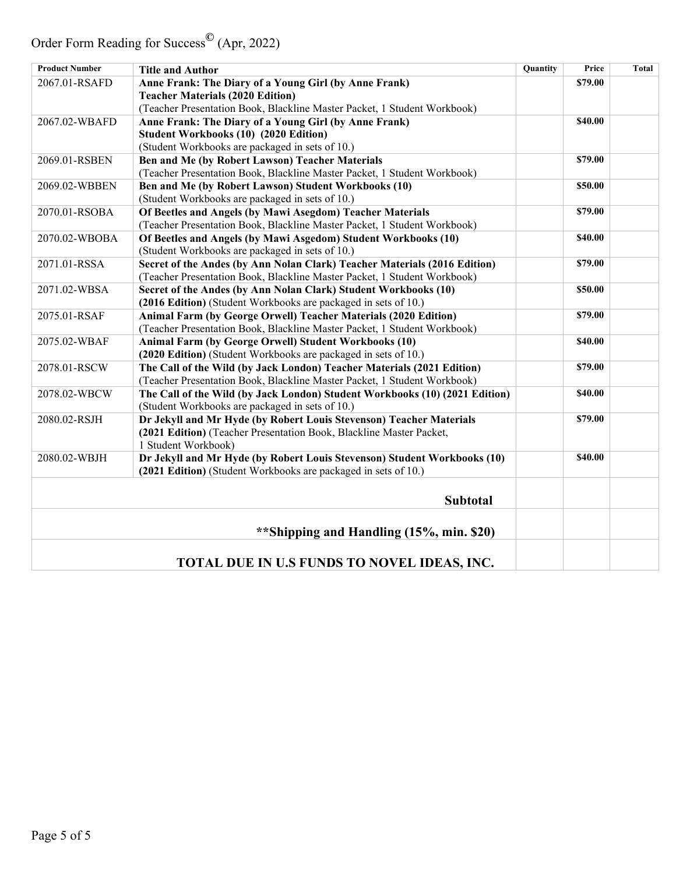Order Form Reading for Success**©** (Apr, 2022)

| <b>Product Number</b> | <b>Title and Author</b>                                                     | Quantity | Price   | Total |
|-----------------------|-----------------------------------------------------------------------------|----------|---------|-------|
| 2067.01-RSAFD         | Anne Frank: The Diary of a Young Girl (by Anne Frank)                       |          | \$79.00 |       |
|                       | <b>Teacher Materials (2020 Edition)</b>                                     |          |         |       |
|                       | (Teacher Presentation Book, Blackline Master Packet, 1 Student Workbook)    |          |         |       |
| 2067.02-WBAFD         | Anne Frank: The Diary of a Young Girl (by Anne Frank)                       |          | \$40.00 |       |
|                       | <b>Student Workbooks (10) (2020 Edition)</b>                                |          |         |       |
|                       | (Student Workbooks are packaged in sets of 10.)                             |          |         |       |
| 2069.01-RSBEN         | Ben and Me (by Robert Lawson) Teacher Materials                             |          | \$79.00 |       |
|                       | (Teacher Presentation Book, Blackline Master Packet, 1 Student Workbook)    |          |         |       |
| 2069.02-WBBEN         | Ben and Me (by Robert Lawson) Student Workbooks (10)                        |          | \$50.00 |       |
|                       | (Student Workbooks are packaged in sets of 10.)                             |          |         |       |
| 2070.01-RSOBA         | Of Beetles and Angels (by Mawi Asegdom) Teacher Materials                   |          | \$79.00 |       |
|                       | (Teacher Presentation Book, Blackline Master Packet, 1 Student Workbook)    |          |         |       |
| 2070.02-WBOBA         | Of Beetles and Angels (by Mawi Asgedom) Student Workbooks (10)              |          | \$40.00 |       |
|                       | (Student Workbooks are packaged in sets of 10.)                             |          |         |       |
| 2071.01-RSSA          | Secret of the Andes (by Ann Nolan Clark) Teacher Materials (2016 Edition)   |          | \$79.00 |       |
|                       | (Teacher Presentation Book, Blackline Master Packet, 1 Student Workbook)    |          |         |       |
| 2071.02-WBSA          | Secret of the Andes (by Ann Nolan Clark) Student Workbooks (10)             |          | \$50.00 |       |
|                       | (2016 Edition) (Student Workbooks are packaged in sets of 10.)              |          |         |       |
| 2075.01-RSAF          | Animal Farm (by George Orwell) Teacher Materials (2020 Edition)             |          | \$79.00 |       |
|                       | (Teacher Presentation Book, Blackline Master Packet, 1 Student Workbook)    |          |         |       |
| 2075.02-WBAF          | Animal Farm (by George Orwell) Student Workbooks (10)                       |          | \$40.00 |       |
|                       | (2020 Edition) (Student Workbooks are packaged in sets of 10.)              |          |         |       |
| 2078.01-RSCW          | The Call of the Wild (by Jack London) Teacher Materials (2021 Edition)      |          | \$79.00 |       |
|                       | (Teacher Presentation Book, Blackline Master Packet, 1 Student Workbook)    |          |         |       |
| 2078.02-WBCW          | The Call of the Wild (by Jack London) Student Workbooks (10) (2021 Edition) |          | \$40.00 |       |
|                       | (Student Workbooks are packaged in sets of 10.)                             |          |         |       |
| 2080.02-RSJH          | Dr Jekyll and Mr Hyde (by Robert Louis Stevenson) Teacher Materials         |          | \$79.00 |       |
|                       | (2021 Edition) (Teacher Presentation Book, Blackline Master Packet,         |          |         |       |
|                       | 1 Student Workbook)                                                         |          |         |       |
| 2080.02-WBJH          | Dr Jekyll and Mr Hyde (by Robert Louis Stevenson) Student Workbooks (10)    |          | \$40.00 |       |
|                       | (2021 Edition) (Student Workbooks are packaged in sets of 10.)              |          |         |       |
|                       |                                                                             |          |         |       |
|                       | <b>Subtotal</b>                                                             |          |         |       |
|                       |                                                                             |          |         |       |
|                       | **Shipping and Handling (15%, min. \$20)                                    |          |         |       |
|                       |                                                                             |          |         |       |
|                       |                                                                             |          |         |       |
|                       | TOTAL DUE IN U.S FUNDS TO NOVEL IDEAS, INC.                                 |          |         |       |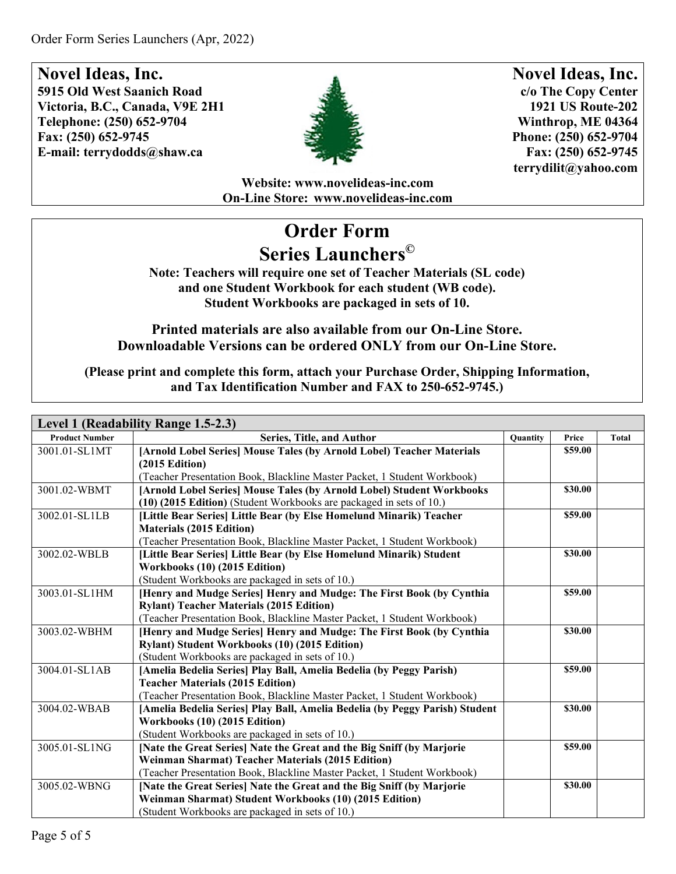

**Novel Ideas, Inc. c/o The Copy Center 1921 US Route-202 Winthrop, ME 04364 Phone: (250) 652-9704 Fax: (250) 652-9745 [terrydilit@yahoo.com](mailto:terrydilit@yahoo.com)**

**Website: [www.novelideas-inc.com](http://www.novelideas-inc.com/) On-Line Store: [www.novelideas-inc.com](http://www.novelideas-inc.com/)**

# **Order Form Series Launchers©**

**Note: Teachers will require one set of Teacher Materials (SL code) and one Student Workbook for each student (WB code). Student Workbooks are packaged in sets of 10.**

#### **Printed materials are also available from our On-Line Store. Downloadable Versions can be ordered ONLY from our On-Line Store.**

| Level 1 (Readability Range 1.5-2.3) |                                                                             |          |         |       |
|-------------------------------------|-----------------------------------------------------------------------------|----------|---------|-------|
| <b>Product Number</b>               | Series, Title, and Author                                                   | Quantity | Price   | Total |
| 3001.01-SL1MT                       | [Arnold Lobel Series] Mouse Tales (by Arnold Lobel) Teacher Materials       |          | \$59.00 |       |
|                                     | $(2015$ Edition)                                                            |          |         |       |
|                                     | (Teacher Presentation Book, Blackline Master Packet, 1 Student Workbook)    |          |         |       |
| 3001.02-WBMT                        | [Arnold Lobel Series] Mouse Tales (by Arnold Lobel) Student Workbooks       |          | \$30.00 |       |
|                                     | (10) (2015 Edition) (Student Workbooks are packaged in sets of 10.)         |          |         |       |
| 3002.01-SL1LB                       | [Little Bear Series] Little Bear (by Else Homelund Minarik) Teacher         |          | \$59.00 |       |
|                                     | <b>Materials (2015 Edition)</b>                                             |          |         |       |
|                                     | (Teacher Presentation Book, Blackline Master Packet, 1 Student Workbook)    |          |         |       |
| 3002.02-WBLB                        | [Little Bear Series] Little Bear (by Else Homelund Minarik) Student         |          | \$30.00 |       |
|                                     | Workbooks (10) (2015 Edition)                                               |          |         |       |
|                                     | (Student Workbooks are packaged in sets of 10.)                             |          |         |       |
| 3003.01-SL1HM                       | [Henry and Mudge Series] Henry and Mudge: The First Book (by Cynthia        |          | \$59.00 |       |
|                                     | <b>Rylant) Teacher Materials (2015 Edition)</b>                             |          |         |       |
|                                     | (Teacher Presentation Book, Blackline Master Packet, 1 Student Workbook)    |          |         |       |
| 3003.02-WBHM                        | [Henry and Mudge Series] Henry and Mudge: The First Book (by Cynthia        |          | \$30.00 |       |
|                                     | Rylant) Student Workbooks (10) (2015 Edition)                               |          |         |       |
|                                     | (Student Workbooks are packaged in sets of 10.)                             |          |         |       |
| 3004.01-SL1AB                       | [Amelia Bedelia Series] Play Ball, Amelia Bedelia (by Peggy Parish)         |          | \$59.00 |       |
|                                     | <b>Teacher Materials (2015 Edition)</b>                                     |          |         |       |
|                                     | (Teacher Presentation Book, Blackline Master Packet, 1 Student Workbook)    |          |         |       |
| 3004.02-WBAB                        | [Amelia Bedelia Series] Play Ball, Amelia Bedelia (by Peggy Parish) Student |          | \$30.00 |       |
|                                     | Workbooks (10) (2015 Edition)                                               |          |         |       |
|                                     | (Student Workbooks are packaged in sets of 10.)                             |          |         |       |
| 3005.01-SL1NG                       | [Nate the Great Series] Nate the Great and the Big Sniff (by Marjorie       |          | \$59.00 |       |
|                                     | <b>Weinman Sharmat) Teacher Materials (2015 Edition)</b>                    |          |         |       |
|                                     | (Teacher Presentation Book, Blackline Master Packet, 1 Student Workbook)    |          |         |       |
| 3005.02-WBNG                        | [Nate the Great Series] Nate the Great and the Big Sniff (by Marjorie       |          | \$30.00 |       |
|                                     | Weinman Sharmat) Student Workbooks (10) (2015 Edition)                      |          |         |       |
|                                     | (Student Workbooks are packaged in sets of 10.)                             |          |         |       |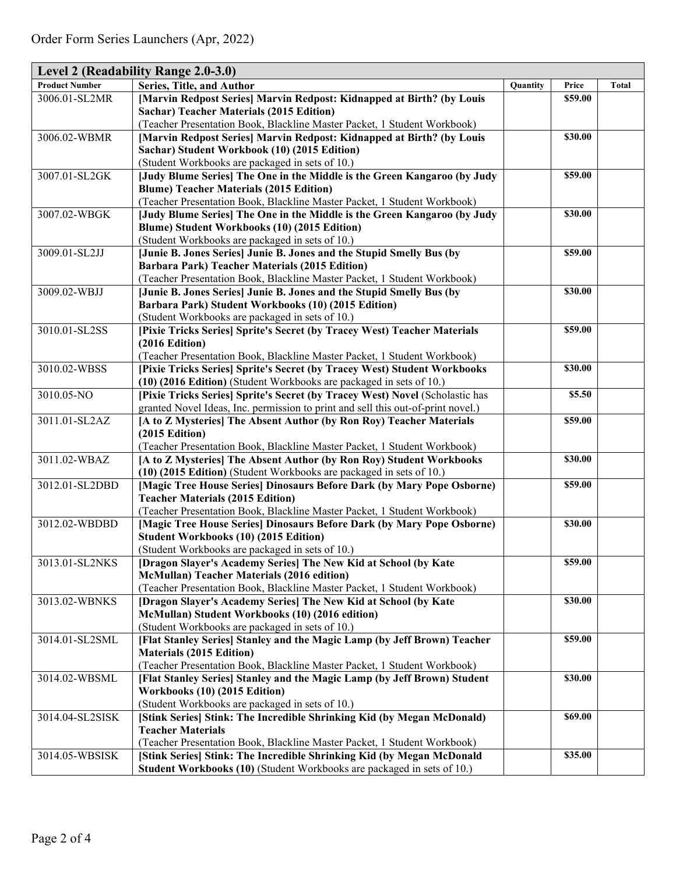| Level 2 (Readability Range 2.0-3.0) |                                                                                                                               |          |         |              |
|-------------------------------------|-------------------------------------------------------------------------------------------------------------------------------|----------|---------|--------------|
| <b>Product Number</b>               | Series, Title, and Author                                                                                                     | Quantity | Price   | <b>Total</b> |
| 3006.01-SL2MR                       | [Marvin Redpost Series] Marvin Redpost: Kidnapped at Birth? (by Louis                                                         |          | \$59.00 |              |
|                                     | <b>Sachar) Teacher Materials (2015 Edition)</b>                                                                               |          |         |              |
|                                     | (Teacher Presentation Book, Blackline Master Packet, 1 Student Workbook)                                                      |          |         |              |
| 3006.02-WBMR                        | [Marvin Redpost Series] Marvin Redpost: Kidnapped at Birth? (by Louis                                                         |          | \$30.00 |              |
|                                     | Sachar) Student Workbook (10) (2015 Edition)                                                                                  |          |         |              |
|                                     | (Student Workbooks are packaged in sets of 10.)                                                                               |          |         |              |
| 3007.01-SL2GK                       | [Judy Blume Series] The One in the Middle is the Green Kangaroo (by Judy                                                      |          | \$59.00 |              |
|                                     | <b>Blume) Teacher Materials (2015 Edition)</b>                                                                                |          |         |              |
|                                     | (Teacher Presentation Book, Blackline Master Packet, 1 Student Workbook)                                                      |          |         |              |
| 3007.02-WBGK                        | [Judy Blume Series] The One in the Middle is the Green Kangaroo (by Judy                                                      |          | \$30.00 |              |
|                                     | Blume) Student Workbooks (10) (2015 Edition)                                                                                  |          |         |              |
| 3009.01-SL2JJ                       | (Student Workbooks are packaged in sets of 10.)                                                                               |          | \$59.00 |              |
|                                     | [Junie B. Jones Series] Junie B. Jones and the Stupid Smelly Bus (by<br><b>Barbara Park) Teacher Materials (2015 Edition)</b> |          |         |              |
|                                     | (Teacher Presentation Book, Blackline Master Packet, 1 Student Workbook)                                                      |          |         |              |
| 3009.02-WBJJ                        | [Junie B. Jones Series] Junie B. Jones and the Stupid Smelly Bus (by                                                          |          | \$30.00 |              |
|                                     | Barbara Park) Student Workbooks (10) (2015 Edition)                                                                           |          |         |              |
|                                     | (Student Workbooks are packaged in sets of 10.)                                                                               |          |         |              |
| 3010.01-SL2SS                       | [Pixie Tricks Series] Sprite's Secret (by Tracey West) Teacher Materials                                                      |          | \$59.00 |              |
|                                     | (2016 Edition)                                                                                                                |          |         |              |
|                                     | (Teacher Presentation Book, Blackline Master Packet, 1 Student Workbook)                                                      |          |         |              |
| 3010.02-WBSS                        | [Pixie Tricks Series] Sprite's Secret (by Tracey West) Student Workbooks                                                      |          | \$30.00 |              |
|                                     | (10) (2016 Edition) (Student Workbooks are packaged in sets of 10.)                                                           |          |         |              |
| 3010.05-NO                          | [Pixie Tricks Series] Sprite's Secret (by Tracey West) Novel (Scholastic has                                                  |          | \$5.50  |              |
|                                     | granted Novel Ideas, Inc. permission to print and sell this out-of-print novel.)                                              |          |         |              |
| 3011.01-SL2AZ                       | [A to Z Mysteries] The Absent Author (by Ron Roy) Teacher Materials                                                           |          | \$59.00 |              |
|                                     | $(2015$ Edition)                                                                                                              |          |         |              |
|                                     | (Teacher Presentation Book, Blackline Master Packet, 1 Student Workbook)                                                      |          |         |              |
| 3011.02-WBAZ                        | [A to Z Mysteries] The Absent Author (by Ron Roy) Student Workbooks                                                           |          | \$30.00 |              |
|                                     | (10) (2015 Edition) (Student Workbooks are packaged in sets of 10.)                                                           |          |         |              |
| 3012.01-SL2DBD                      | [Magic Tree House Series] Dinosaurs Before Dark (by Mary Pope Osborne)                                                        |          | \$59.00 |              |
|                                     | <b>Teacher Materials (2015 Edition)</b>                                                                                       |          |         |              |
|                                     | (Teacher Presentation Book, Blackline Master Packet, 1 Student Workbook)                                                      |          |         |              |
| 3012.02-WBDBD                       | [Magic Tree House Series] Dinosaurs Before Dark (by Mary Pope Osborne)                                                        |          | \$30.00 |              |
|                                     | <b>Student Workbooks (10) (2015 Edition)</b>                                                                                  |          |         |              |
|                                     | (Student Workbooks are packaged in sets of 10.)                                                                               |          |         |              |
| 3013.01-SL2NKS                      | [Dragon Slayer's Academy Series] The New Kid at School (by Kate                                                               |          | \$59.00 |              |
|                                     | <b>McMullan) Teacher Materials (2016 edition)</b><br>(Teacher Presentation Book, Blackline Master Packet, 1 Student Workbook) |          |         |              |
| 3013.02-WBNKS                       | [Dragon Slayer's Academy Series] The New Kid at School (by Kate                                                               |          | \$30.00 |              |
|                                     | McMullan) Student Workbooks (10) (2016 edition)                                                                               |          |         |              |
|                                     | (Student Workbooks are packaged in sets of 10.)                                                                               |          |         |              |
| 3014.01-SL2SML                      | [Flat Stanley Series] Stanley and the Magic Lamp (by Jeff Brown) Teacher                                                      |          | \$59.00 |              |
|                                     | <b>Materials (2015 Edition)</b>                                                                                               |          |         |              |
|                                     | (Teacher Presentation Book, Blackline Master Packet, 1 Student Workbook)                                                      |          |         |              |
| 3014.02-WBSML                       | [Flat Stanley Series] Stanley and the Magic Lamp (by Jeff Brown) Student                                                      |          | \$30.00 |              |
|                                     | Workbooks (10) (2015 Edition)                                                                                                 |          |         |              |
|                                     | (Student Workbooks are packaged in sets of 10.)                                                                               |          |         |              |
| 3014.04-SL2SISK                     | [Stink Series] Stink: The Incredible Shrinking Kid (by Megan McDonald)                                                        |          | \$69.00 |              |
|                                     | <b>Teacher Materials</b>                                                                                                      |          |         |              |
|                                     | (Teacher Presentation Book, Blackline Master Packet, 1 Student Workbook)                                                      |          |         |              |
| 3014.05-WBSISK                      | [Stink Series] Stink: The Incredible Shrinking Kid (by Megan McDonald                                                         |          | \$35.00 |              |
|                                     | Student Workbooks (10) (Student Workbooks are packaged in sets of 10.)                                                        |          |         |              |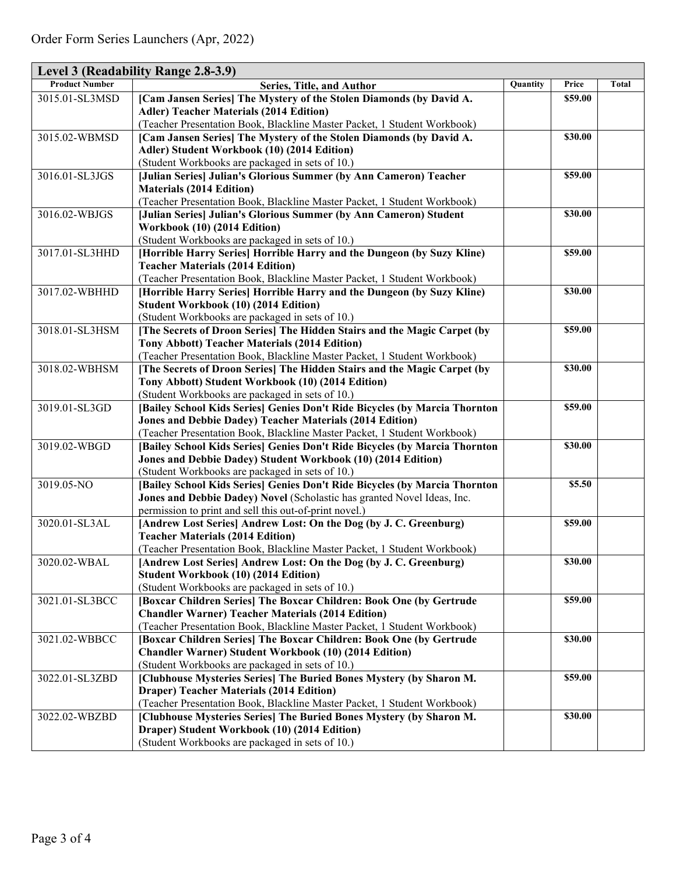| Level 3 (Readability Range 2.8-3.9) |                                                                                                                                   |          |              |       |  |
|-------------------------------------|-----------------------------------------------------------------------------------------------------------------------------------|----------|--------------|-------|--|
| <b>Product Number</b>               | Series, Title, and Author                                                                                                         | Quantity | <b>Price</b> | Total |  |
| 3015.01-SL3MSD                      | [Cam Jansen Series] The Mystery of the Stolen Diamonds (by David A.                                                               |          | \$59.00      |       |  |
|                                     | <b>Adler) Teacher Materials (2014 Edition)</b>                                                                                    |          |              |       |  |
|                                     | (Teacher Presentation Book, Blackline Master Packet, 1 Student Workbook)                                                          |          |              |       |  |
| 3015.02-WBMSD                       | [Cam Jansen Series] The Mystery of the Stolen Diamonds (by David A.                                                               |          | \$30.00      |       |  |
|                                     | Adler) Student Workbook (10) (2014 Edition)                                                                                       |          |              |       |  |
|                                     | (Student Workbooks are packaged in sets of 10.)                                                                                   |          |              |       |  |
| 3016.01-SL3JGS                      | [Julian Series] Julian's Glorious Summer (by Ann Cameron) Teacher                                                                 |          | \$59.00      |       |  |
|                                     | <b>Materials (2014 Edition)</b>                                                                                                   |          |              |       |  |
|                                     | (Teacher Presentation Book, Blackline Master Packet, 1 Student Workbook)                                                          |          |              |       |  |
| 3016.02-WBJGS                       | [Julian Series] Julian's Glorious Summer (by Ann Cameron) Student                                                                 |          | \$30.00      |       |  |
|                                     | Workbook (10) (2014 Edition)                                                                                                      |          |              |       |  |
|                                     | (Student Workbooks are packaged in sets of 10.)                                                                                   |          |              |       |  |
| 3017.01-SL3HHD                      | [Horrible Harry Series] Horrible Harry and the Dungeon (by Suzy Kline)                                                            |          | \$59.00      |       |  |
|                                     | <b>Teacher Materials (2014 Edition)</b>                                                                                           |          |              |       |  |
|                                     | (Teacher Presentation Book, Blackline Master Packet, 1 Student Workbook)                                                          |          |              |       |  |
| 3017.02-WBHHD                       | [Horrible Harry Series] Horrible Harry and the Dungeon (by Suzy Kline)                                                            |          | \$30.00      |       |  |
|                                     | <b>Student Workbook (10) (2014 Edition)</b>                                                                                       |          |              |       |  |
|                                     | (Student Workbooks are packaged in sets of 10.)                                                                                   |          |              |       |  |
| 3018.01-SL3HSM                      | [The Secrets of Droon Series] The Hidden Stairs and the Magic Carpet (by                                                          |          | \$59.00      |       |  |
|                                     | <b>Tony Abbott) Teacher Materials (2014 Edition)</b>                                                                              |          |              |       |  |
|                                     | (Teacher Presentation Book, Blackline Master Packet, 1 Student Workbook)                                                          |          |              |       |  |
| 3018.02-WBHSM                       | [The Secrets of Droon Series] The Hidden Stairs and the Magic Carpet (by                                                          |          | \$30.00      |       |  |
|                                     | Tony Abbott) Student Workbook (10) (2014 Edition)                                                                                 |          |              |       |  |
|                                     | (Student Workbooks are packaged in sets of 10.)                                                                                   |          |              |       |  |
| 3019.01-SL3GD                       | [Bailey School Kids Series] Genies Don't Ride Bicycles (by Marcia Thornton                                                        |          | \$59.00      |       |  |
|                                     | <b>Jones and Debbie Dadey) Teacher Materials (2014 Edition)</b>                                                                   |          |              |       |  |
|                                     | (Teacher Presentation Book, Blackline Master Packet, 1 Student Workbook)                                                          |          |              |       |  |
| 3019.02-WBGD                        | [Bailey School Kids Series] Genies Don't Ride Bicycles (by Marcia Thornton                                                        |          | \$30.00      |       |  |
|                                     | Jones and Debbie Dadey) Student Workbook (10) (2014 Edition)                                                                      |          |              |       |  |
|                                     | (Student Workbooks are packaged in sets of 10.)                                                                                   |          | \$5.50       |       |  |
| 3019.05-NO                          | [Bailey School Kids Series] Genies Don't Ride Bicycles (by Marcia Thornton                                                        |          |              |       |  |
|                                     | Jones and Debbie Dadey) Novel (Scholastic has granted Novel Ideas, Inc.<br>permission to print and sell this out-of-print novel.) |          |              |       |  |
| 3020.01-SL3AL                       | [Andrew Lost Series] Andrew Lost: On the Dog (by J. C. Greenburg)                                                                 |          | \$59.00      |       |  |
|                                     | <b>Teacher Materials (2014 Edition)</b>                                                                                           |          |              |       |  |
|                                     | (Teacher Presentation Book, Blackline Master Packet, 1 Student Workbook)                                                          |          |              |       |  |
| 3020.02-WBAL                        | [Andrew Lost Series] Andrew Lost: On the Dog (by J. C. Greenburg)                                                                 |          | \$30.00      |       |  |
|                                     | <b>Student Workbook (10) (2014 Edition)</b>                                                                                       |          |              |       |  |
|                                     | (Student Workbooks are packaged in sets of 10.)                                                                                   |          |              |       |  |
| 3021.01-SL3BCC                      | [Boxcar Children Series] The Boxcar Children: Book One (by Gertrude                                                               |          | \$59.00      |       |  |
|                                     | <b>Chandler Warner) Teacher Materials (2014 Edition)</b>                                                                          |          |              |       |  |
|                                     | (Teacher Presentation Book, Blackline Master Packet, 1 Student Workbook)                                                          |          |              |       |  |
| 3021.02-WBBCC                       | [Boxcar Children Series] The Boxcar Children: Book One (by Gertrude                                                               |          | \$30.00      |       |  |
|                                     | <b>Chandler Warner) Student Workbook (10) (2014 Edition)</b>                                                                      |          |              |       |  |
|                                     | (Student Workbooks are packaged in sets of 10.)                                                                                   |          |              |       |  |
| 3022.01-SL3ZBD                      | [Clubhouse Mysteries Series] The Buried Bones Mystery (by Sharon M.                                                               |          | \$59.00      |       |  |
|                                     | <b>Draper) Teacher Materials (2014 Edition)</b>                                                                                   |          |              |       |  |
|                                     | (Teacher Presentation Book, Blackline Master Packet, 1 Student Workbook)                                                          |          |              |       |  |
| 3022.02-WBZBD                       | [Clubhouse Mysteries Series] The Buried Bones Mystery (by Sharon M.                                                               |          | \$30.00      |       |  |
|                                     | Draper) Student Workbook (10) (2014 Edition)                                                                                      |          |              |       |  |
|                                     | (Student Workbooks are packaged in sets of 10.)                                                                                   |          |              |       |  |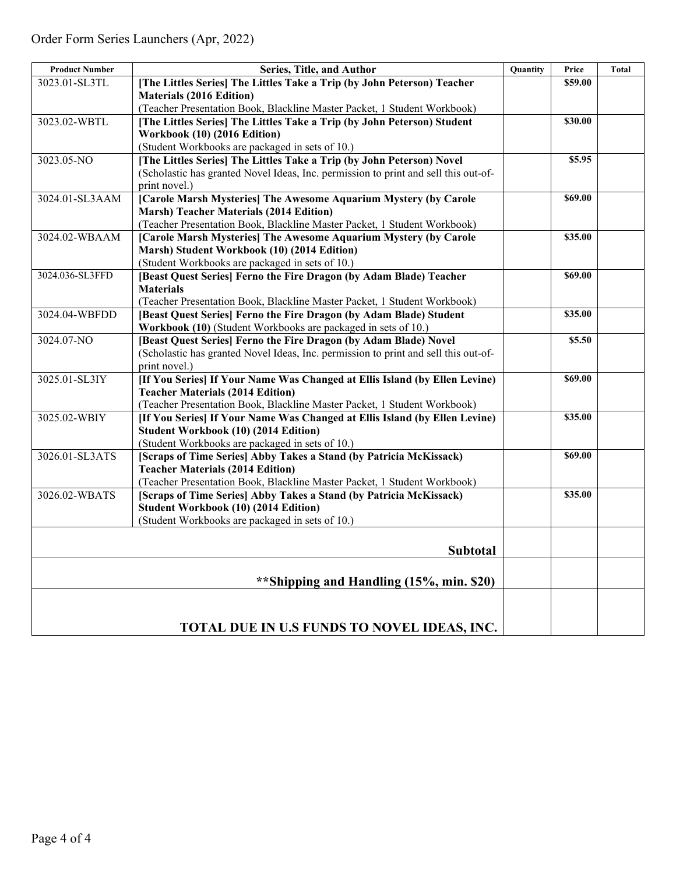| <b>Product Number</b> | Series, Title, and Author                                                                                             | <b>Quantity</b> | Price   | <b>Total</b> |
|-----------------------|-----------------------------------------------------------------------------------------------------------------------|-----------------|---------|--------------|
| 3023.01-SL3TL         | [The Littles Series] The Littles Take a Trip (by John Peterson) Teacher                                               |                 | \$59.00 |              |
|                       | <b>Materials (2016 Edition)</b>                                                                                       |                 |         |              |
|                       | (Teacher Presentation Book, Blackline Master Packet, 1 Student Workbook)                                              |                 |         |              |
| 3023.02-WBTL          | [The Littles Series] The Littles Take a Trip (by John Peterson) Student                                               |                 | \$30.00 |              |
|                       | Workbook (10) (2016 Edition)                                                                                          |                 |         |              |
|                       | (Student Workbooks are packaged in sets of 10.)                                                                       |                 |         |              |
| 3023.05-NO            | [The Littles Series] The Littles Take a Trip (by John Peterson) Novel                                                 |                 | \$5.95  |              |
|                       | (Scholastic has granted Novel Ideas, Inc. permission to print and sell this out-of-                                   |                 |         |              |
|                       | print novel.)                                                                                                         |                 |         |              |
| 3024.01-SL3AAM        | [Carole Marsh Mysteries] The Awesome Aquarium Mystery (by Carole                                                      |                 | \$69.00 |              |
|                       | <b>Marsh) Teacher Materials (2014 Edition)</b>                                                                        |                 |         |              |
|                       | (Teacher Presentation Book, Blackline Master Packet, 1 Student Workbook)                                              |                 |         |              |
| 3024.02-WBAAM         | [Carole Marsh Mysteries] The Awesome Aquarium Mystery (by Carole                                                      |                 | \$35.00 |              |
|                       | Marsh) Student Workbook (10) (2014 Edition)                                                                           |                 |         |              |
|                       | (Student Workbooks are packaged in sets of 10.)                                                                       |                 |         |              |
| 3024.036-SL3FFD       | [Beast Quest Series] Ferno the Fire Dragon (by Adam Blade) Teacher                                                    |                 | \$69.00 |              |
|                       | <b>Materials</b>                                                                                                      |                 |         |              |
|                       | (Teacher Presentation Book, Blackline Master Packet, 1 Student Workbook)                                              |                 |         |              |
| 3024.04-WBFDD         | [Beast Quest Series] Ferno the Fire Dragon (by Adam Blade) Student                                                    |                 | \$35.00 |              |
|                       | Workbook (10) (Student Workbooks are packaged in sets of 10.)                                                         |                 |         |              |
| 3024.07-NO            | [Beast Quest Series] Ferno the Fire Dragon (by Adam Blade) Novel                                                      |                 | \$5.50  |              |
|                       | (Scholastic has granted Novel Ideas, Inc. permission to print and sell this out-of-                                   |                 |         |              |
|                       | print novel.)                                                                                                         |                 |         |              |
| 3025.01-SL3IY         | [If You Series] If Your Name Was Changed at Ellis Island (by Ellen Levine)                                            |                 | \$69.00 |              |
|                       | <b>Teacher Materials (2014 Edition)</b>                                                                               |                 |         |              |
|                       | (Teacher Presentation Book, Blackline Master Packet, 1 Student Workbook)                                              |                 |         |              |
| 3025.02-WBIY          | [If You Series] If Your Name Was Changed at Ellis Island (by Ellen Levine)                                            |                 | \$35.00 |              |
|                       | Student Workbook (10) (2014 Edition)                                                                                  |                 |         |              |
| 3026.01-SL3ATS        | (Student Workbooks are packaged in sets of 10.)<br>[Scraps of Time Series] Abby Takes a Stand (by Patricia McKissack) |                 | \$69.00 |              |
|                       | <b>Teacher Materials (2014 Edition)</b>                                                                               |                 |         |              |
|                       | (Teacher Presentation Book, Blackline Master Packet, 1 Student Workbook)                                              |                 |         |              |
| 3026.02-WBATS         | [Scraps of Time Series] Abby Takes a Stand (by Patricia McKissack)                                                    |                 | \$35.00 |              |
|                       | <b>Student Workbook (10) (2014 Edition)</b>                                                                           |                 |         |              |
|                       | (Student Workbooks are packaged in sets of 10.)                                                                       |                 |         |              |
|                       |                                                                                                                       |                 |         |              |
|                       |                                                                                                                       |                 |         |              |
|                       | Subtotal                                                                                                              |                 |         |              |
|                       |                                                                                                                       |                 |         |              |
|                       | **Shipping and Handling (15%, min. \$20)                                                                              |                 |         |              |
|                       |                                                                                                                       |                 |         |              |
|                       |                                                                                                                       |                 |         |              |
|                       | TOTAL DUE IN U.S FUNDS TO NOVEL IDEAS, INC.                                                                           |                 |         |              |
|                       |                                                                                                                       |                 |         |              |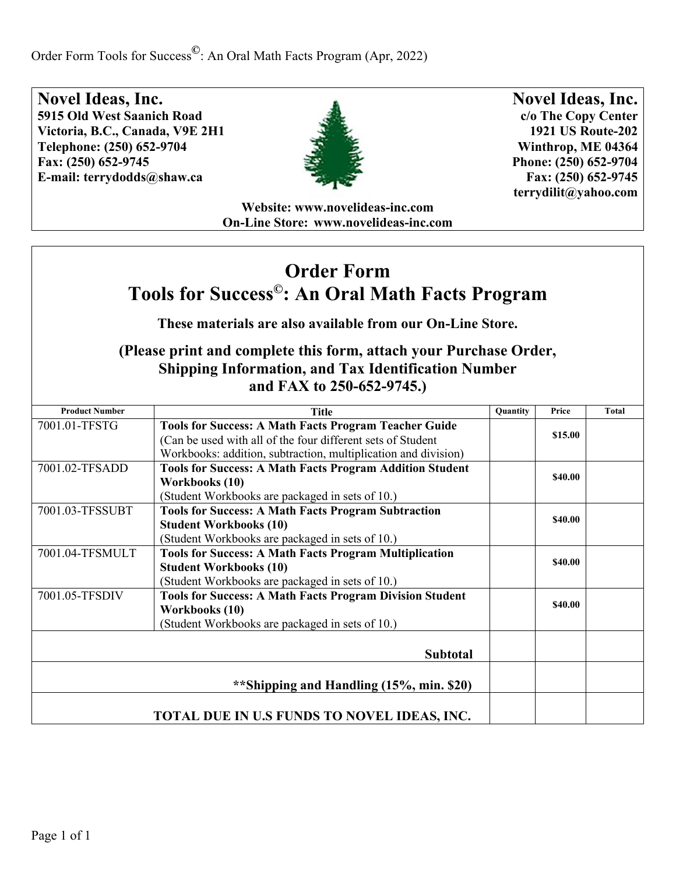Order Form Tools for Success**©**: An Oral Math Facts Program (Apr, 2022)

**Novel Ideas, Inc. 5915 Old West Saanich Road Victoria, B.C., Canada, V9E 2H1 Telephone: (250) 652-9704 Fax: (250) 652-9745 E-mail: [terrydodds@shaw.ca](mailto:terrydodds@shaw.ca)**



**Novel Ideas, Inc. c/o The Copy Center 1921 US Route-202 Winthrop, ME 04364 Phone: (250) 652-9704 Fax: (250) 652-9745 [terrydilit@yahoo.com](mailto:terrydilit@yahoo.com)**

**Website: [www.novelideas-inc.com](http://www.novelideas-inc.com/) On-Line Store: [www.novelideas-inc.com](http://www.novelideas-inc.com/)**

## **Order Form Tools for Success©: An Oral Math Facts Program**

**These materials are also available from our On-Line Store.**

| <b>Product Number</b>                       | <b>Title</b>                                                                                                                                                                                  | <b>Quantity</b> | Price   | Total |
|---------------------------------------------|-----------------------------------------------------------------------------------------------------------------------------------------------------------------------------------------------|-----------------|---------|-------|
| 7001.01-TFSTG                               | <b>Tools for Success: A Math Facts Program Teacher Guide</b><br>(Can be used with all of the four different sets of Student<br>Workbooks: addition, subtraction, multiplication and division) |                 | \$15.00 |       |
| 7001.02-TFSADD                              | <b>Tools for Success: A Math Facts Program Addition Student</b><br>Workbooks (10)<br>(Student Workbooks are packaged in sets of 10.)                                                          |                 | \$40.00 |       |
| 7001.03-TFSSUBT                             | <b>Tools for Success: A Math Facts Program Subtraction</b><br><b>Student Workbooks (10)</b><br>(Student Workbooks are packaged in sets of 10.)                                                |                 | \$40.00 |       |
| 7001.04-TFSMULT                             | <b>Tools for Success: A Math Facts Program Multiplication</b><br><b>Student Workbooks (10)</b><br>(Student Workbooks are packaged in sets of 10.)                                             |                 | \$40.00 |       |
| 7001.05-TFSDIV                              | <b>Tools for Success: A Math Facts Program Division Student</b><br>Workbooks (10)<br>(Student Workbooks are packaged in sets of 10.)                                                          |                 | \$40.00 |       |
|                                             | <b>Subtotal</b>                                                                                                                                                                               |                 |         |       |
| **Shipping and Handling (15%, min. \$20)    |                                                                                                                                                                                               |                 |         |       |
| TOTAL DUE IN U.S FUNDS TO NOVEL IDEAS, INC. |                                                                                                                                                                                               |                 |         |       |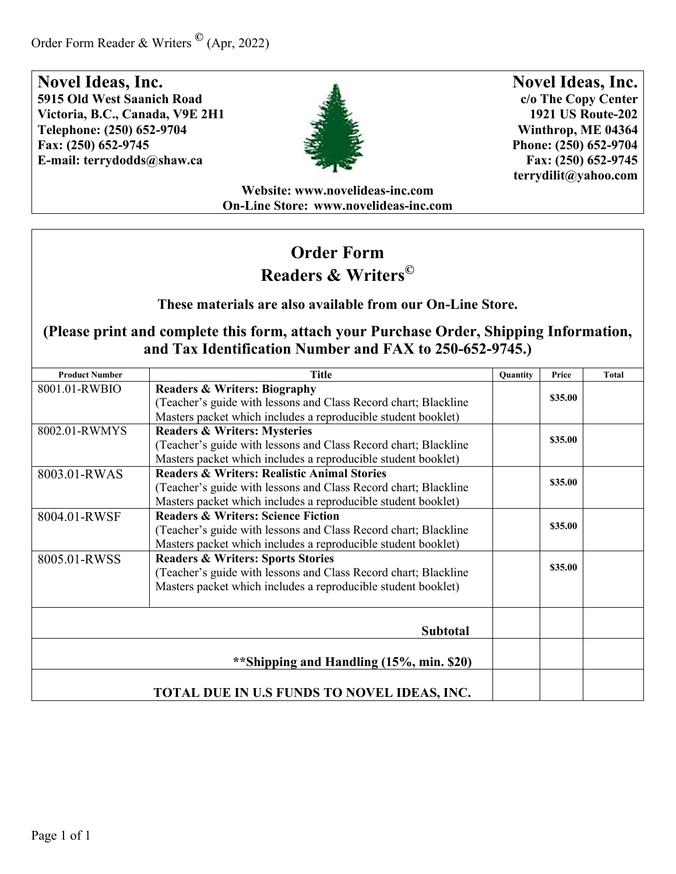

**Novel Ideas, Inc. c/o The Copy Center 1921 US Route-202 Winthrop, ME 04364 Phone: (250) 652-9704 Fax: (250) 652-9745 [terrydilit@yahoo.com](mailto:terrydilit@yahoo.com)**

**Website: [www.novelideas-inc.com](http://www.novelideas-inc.com/) On-Line Store: [www.novelideas-inc.com](http://www.novelideas-inc.com/)**

# **Order Form Readers & Writers©**

**These materials are also available from our On-Line Store.**

| <b>Product Number</b>                    | <b>Title</b>                                                    | <b>Ouantity</b> | Price   | <b>Total</b> |
|------------------------------------------|-----------------------------------------------------------------|-----------------|---------|--------------|
| 8001.01-RWBIO                            | <b>Readers &amp; Writers: Biography</b>                         |                 | \$35.00 |              |
|                                          | (Teacher's guide with lessons and Class Record chart; Blackline |                 |         |              |
|                                          | Masters packet which includes a reproducible student booklet)   |                 |         |              |
| 8002.01-RWMYS                            | <b>Readers &amp; Writers: Mysteries</b>                         |                 |         |              |
|                                          | (Teacher's guide with lessons and Class Record chart; Blackline |                 | \$35.00 |              |
|                                          | Masters packet which includes a reproducible student booklet)   |                 |         |              |
| 8003.01-RWAS                             | <b>Readers &amp; Writers: Realistic Animal Stories</b>          |                 |         |              |
|                                          | (Teacher's guide with lessons and Class Record chart; Blackline |                 | \$35.00 |              |
|                                          | Masters packet which includes a reproducible student booklet)   |                 |         |              |
| 8004.01-RWSF                             | <b>Readers &amp; Writers: Science Fiction</b>                   |                 | \$35.00 |              |
|                                          | (Teacher's guide with lessons and Class Record chart; Blackline |                 |         |              |
|                                          | Masters packet which includes a reproducible student booklet)   |                 |         |              |
| 8005.01-RWSS                             | <b>Readers &amp; Writers: Sports Stories</b>                    |                 | \$35.00 |              |
|                                          | (Teacher's guide with lessons and Class Record chart; Blackline |                 |         |              |
|                                          | Masters packet which includes a reproducible student booklet)   |                 |         |              |
|                                          |                                                                 |                 |         |              |
|                                          |                                                                 |                 |         |              |
|                                          | <b>Subtotal</b>                                                 |                 |         |              |
|                                          |                                                                 |                 |         |              |
| **Shipping and Handling (15%, min. \$20) |                                                                 |                 |         |              |
|                                          |                                                                 |                 |         |              |
|                                          | TOTAL DUE IN U.S FUNDS TO NOVEL IDEAS, INC.                     |                 |         |              |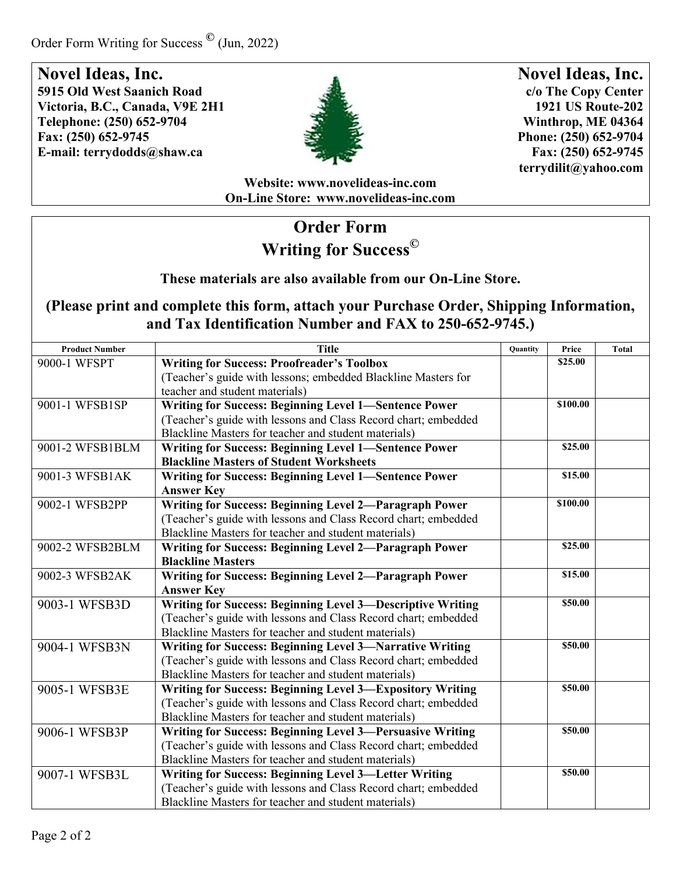

**Novel Ideas, Inc. c/o The Copy Center 1921 US Route-202 Winthrop, ME 04364 Phone: (250) 652-9704 Fax: (250) 652-9745 [terrydilit@yahoo.com](mailto:terrydilit@yahoo.com)**

**Website: [www.novelideas-inc.com](http://www.novelideas-inc.com/) On-Line Store: [www.novelideas-inc.com](http://www.novelideas-inc.com/)**

## **Order Form Writing for Success©**

**These materials are also available from our On-Line Store.**

| <b>Product Number</b> | <b>Title</b>                                                      | Quantity | Price    | <b>Total</b> |
|-----------------------|-------------------------------------------------------------------|----------|----------|--------------|
| 9000-1 WFSPT          | <b>Writing for Success: Proofreader's Toolbox</b>                 |          | \$25.00  |              |
|                       | (Teacher's guide with lessons; embedded Blackline Masters for     |          |          |              |
|                       | teacher and student materials)                                    |          |          |              |
| 9001-1 WFSB1SP        | <b>Writing for Success: Beginning Level 1-Sentence Power</b>      |          | \$100.00 |              |
|                       | (Teacher's guide with lessons and Class Record chart; embedded    |          |          |              |
|                       | Blackline Masters for teacher and student materials)              |          |          |              |
| 9001-2 WFSB1BLM       | Writing for Success: Beginning Level 1-Sentence Power             |          | \$25.00  |              |
|                       | <b>Blackline Masters of Student Worksheets</b>                    |          |          |              |
| 9001-3 WFSB1AK        | <b>Writing for Success: Beginning Level 1-Sentence Power</b>      |          | \$15.00  |              |
|                       | <b>Answer Key</b>                                                 |          |          |              |
| 9002-1 WFSB2PP        | Writing for Success: Beginning Level 2-Paragraph Power            |          | \$100.00 |              |
|                       | (Teacher's guide with lessons and Class Record chart; embedded    |          |          |              |
|                       | Blackline Masters for teacher and student materials)              |          |          |              |
| 9002-2 WFSB2BLM       | <b>Writing for Success: Beginning Level 2-Paragraph Power</b>     |          | \$25.00  |              |
|                       | <b>Blackline Masters</b>                                          |          |          |              |
| 9002-3 WFSB2AK        | Writing for Success: Beginning Level 2-Paragraph Power            |          | \$15.00  |              |
|                       | <b>Answer Key</b>                                                 |          |          |              |
| 9003-1 WFSB3D         | <b>Writing for Success: Beginning Level 3-Descriptive Writing</b> |          | \$50.00  |              |
|                       | (Teacher's guide with lessons and Class Record chart; embedded    |          |          |              |
|                       | Blackline Masters for teacher and student materials)              |          |          |              |
| 9004-1 WFSB3N         | <b>Writing for Success: Beginning Level 3-Narrative Writing</b>   |          | \$50.00  |              |
|                       | (Teacher's guide with lessons and Class Record chart; embedded    |          |          |              |
|                       | Blackline Masters for teacher and student materials)              |          |          |              |
| 9005-1 WFSB3E         | Writing for Success: Beginning Level 3-Expository Writing         |          | \$50.00  |              |
|                       | (Teacher's guide with lessons and Class Record chart; embedded    |          |          |              |
|                       | Blackline Masters for teacher and student materials)              |          |          |              |
| 9006-1 WFSB3P         | Writing for Success: Beginning Level 3-Persuasive Writing         |          | \$50.00  |              |
|                       | (Teacher's guide with lessons and Class Record chart; embedded    |          |          |              |
|                       | Blackline Masters for teacher and student materials)              |          |          |              |
| 9007-1 WFSB3L         | Writing for Success: Beginning Level 3-Letter Writing             |          | \$50.00  |              |
|                       | (Teacher's guide with lessons and Class Record chart; embedded    |          |          |              |
|                       | Blackline Masters for teacher and student materials)              |          |          |              |